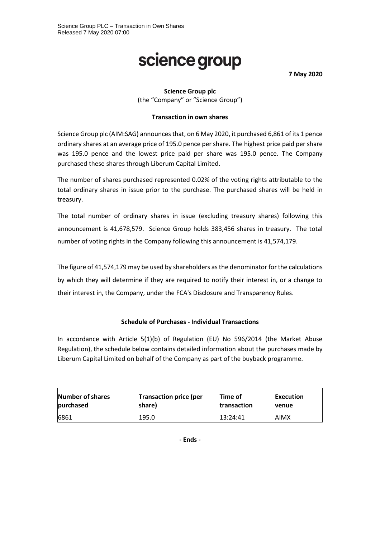# science group

**7 May 2020**

## **Science Group plc**

(the "Company" or "Science Group")

### **Transaction in own shares**

Science Group plc (AIM:SAG) announces that, on 6 May 2020, it purchased 6,861 of its 1 pence ordinary shares at an average price of 195.0 pence per share. The highest price paid per share was 195.0 pence and the lowest price paid per share was 195.0 pence. The Company purchased these shares through Liberum Capital Limited.

The number of shares purchased represented 0.02% of the voting rights attributable to the total ordinary shares in issue prior to the purchase. The purchased shares will be held in treasury.

The total number of ordinary shares in issue (excluding treasury shares) following this announcement is 41,678,579. Science Group holds 383,456 shares in treasury. The total number of voting rights in the Company following this announcement is 41,574,179.

The figure of 41,574,179 may be used by shareholders as the denominator for the calculations by which they will determine if they are required to notify their interest in, or a change to their interest in, the Company, under the FCA's Disclosure and Transparency Rules.

## **Schedule of Purchases - Individual Transactions**

In accordance with Article 5(1)(b) of Regulation (EU) No 596/2014 (the Market Abuse Regulation), the schedule below contains detailed information about the purchases made by Liberum Capital Limited on behalf of the Company as part of the buyback programme.

| Number of shares | <b>Transaction price (per</b> | Time of     | Execution |
|------------------|-------------------------------|-------------|-----------|
| purchased        | share)                        | transaction | venue     |
| 6861             | 195.0                         | 13:24:41    | AIMX      |